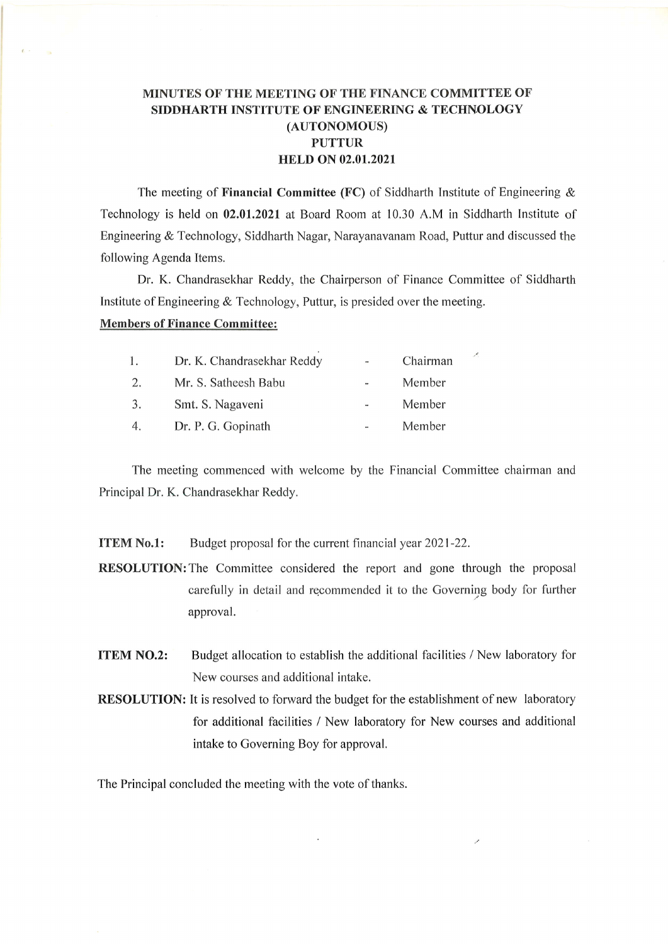## MINUTES OF THE MEETING OF THE FINANCE COMMITTEE OF SIDDHARTH INSTITUTE OF ENGINEERING & TECHNOLOGY (AUTONOMOUS) PUTTUR HELD ON 02.01.2021

The meeting of Financial Committee (FC) of Siddharth Institute of Engineering  $\&$ Technology is held on 02.01.2021 at Board Room at 10,30 A.M in Siddharth Institute of Engineering & Technology, Siddharth Nagar, Narayanavanam Road, Puttur and discussed the following Agenda Items.

Dr. K. Chandrasekhar Reddy, the Chairperson of Finance Committee of Siddharth Institute of Engineering  $&$  Technology, Puttur, is presided over the meeting.

 $\mathcal{S}$ 

 $\mathcal{S}$ 

## Members of Finance Committee:

 $\mathcal{L}$ 

| l. | Dr. K. Chandrasekhar Reddy | $\overline{\phantom{a}}$ | Chairman |
|----|----------------------------|--------------------------|----------|
| 2. | Mr. S. Satheesh Babu       |                          | Member   |
| 3. | Smt. S. Nagaveni           | $\blacksquare$           | Member   |
| 4. | Dr. P. G. Gopinath         |                          | Member   |

The meeting commenced with welcome by the Financial Committee chairman and Principal Dr. K. Chandrasekhar Reddy.

**ITEM No.1:** Budget proposal for the current financial year 2021-22.

RESOLUTION:The Committee considered the report and gone through the proposal carefully in detail and recommended it to the Governing body for further approval,

- ITEM NO.2: Budget allocation to establish the additional facilities / New laboratory for New courses and additional intake.
- RESOLUTION: It is resolved to forward the budget for the establishment of new laboratory for additional facilities / New laboratory for New courses and additional intake to Governing Boy for approval,

 $\mathbf{r}$ 

The Principal concluded the meeting with the vote of thanks.